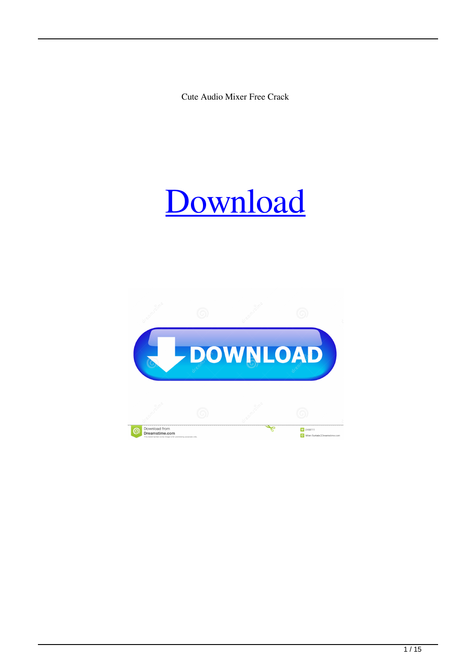Cute Audio Mixer Free Crack



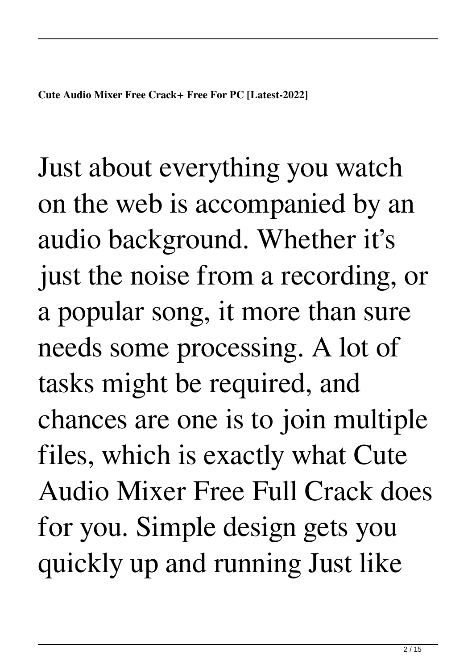Just about everything you watch on the web is accompanied by an audio background. Whether it's just the noise from a recording, or a popular song, it more than sure needs some processing. A lot of tasks might be required, and chances are one is to join multiple files, which is exactly what Cute Audio Mixer Free Full Crack does for you. Simple design gets you quickly up and running Just like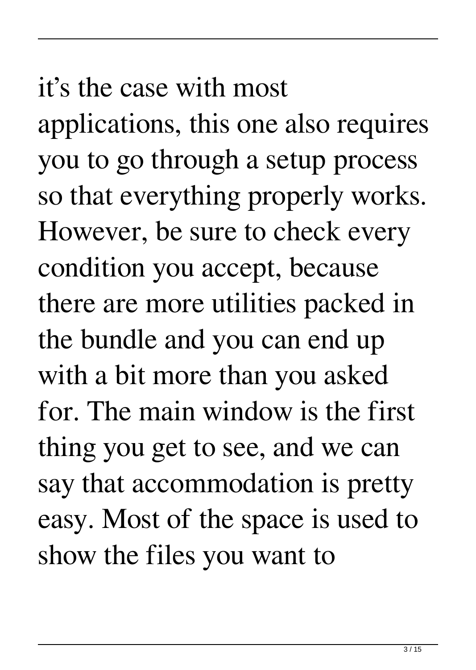## it's the case with most

applications, this one also requires you to go through a setup process so that everything properly works. However, be sure to check every condition you accept, because there are more utilities packed in the bundle and you can end up with a bit more than you asked for. The main window is the first thing you get to see, and we can say that accommodation is pretty easy. Most of the space is used to show the files you want to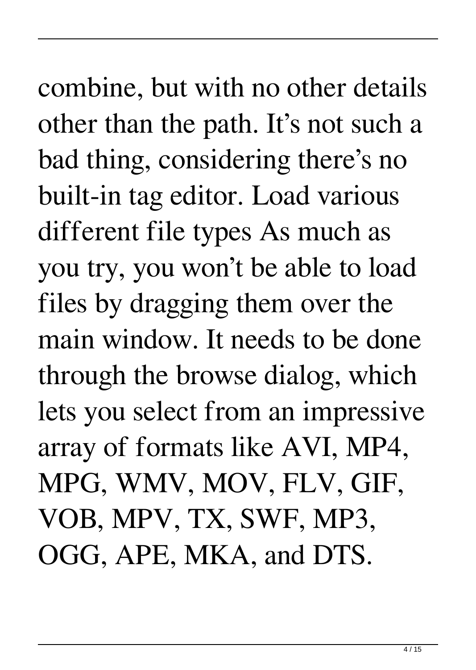combine, but with no other details other than the path. It's not such a bad thing, considering there's no built-in tag editor. Load various different file types As much as you try, you won't be able to load files by dragging them over the main window. It needs to be done through the browse dialog, which lets you select from an impressive array of formats like AVI, MP4, MPG, WMV, MOV, FLV, GIF, VOB, MPV, TX, SWF, MP3, OGG, APE, MKA, and DTS.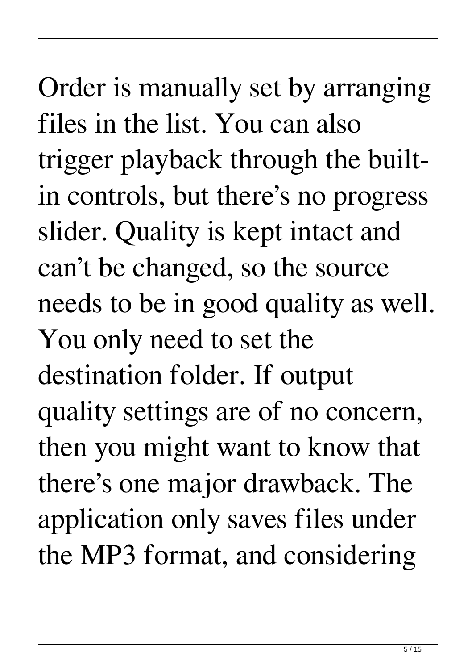Order is manually set by arranging files in the list. You can also trigger playback through the builtin controls, but there's no progress slider. Quality is kept intact and can't be changed, so the source needs to be in good quality as well. You only need to set the destination folder. If output quality settings are of no concern, then you might want to know that there's one major drawback. The application only saves files under the MP3 format, and considering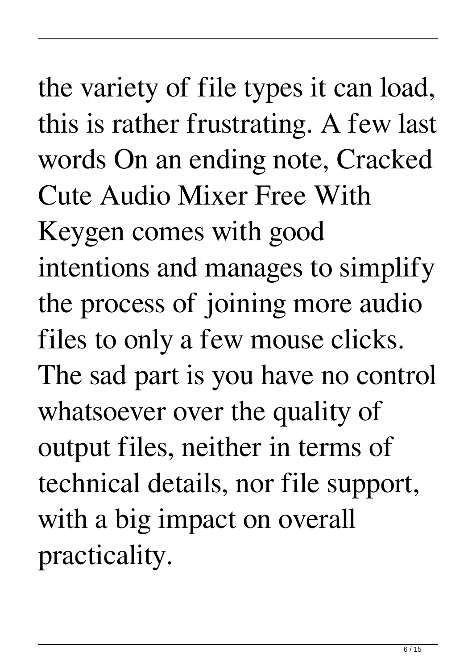the variety of file types it can load, this is rather frustrating. A few last words On an ending note, Cracked Cute Audio Mixer Free With Keygen comes with good intentions and manages to simplify the process of joining more audio files to only a few mouse clicks. The sad part is you have no control whatsoever over the quality of output files, neither in terms of technical details, nor file support, with a big impact on overall practicality.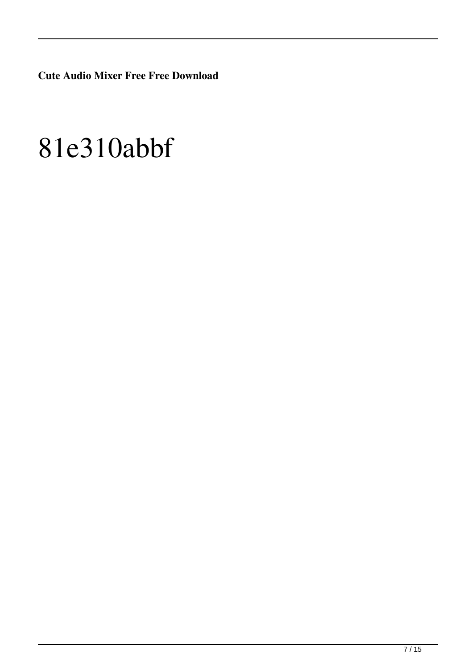**Cute Audio Mixer Free Free Download**

## 81e310abbf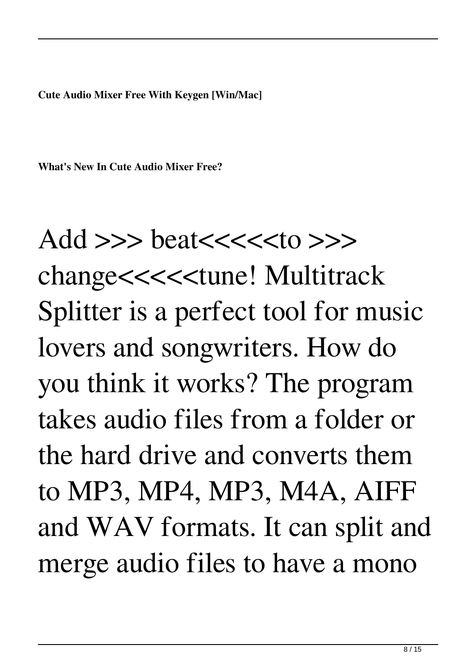**Cute Audio Mixer Free With Keygen [Win/Mac]**

**What's New In Cute Audio Mixer Free?**

Add >>> beat<<<<<to >>>

change<<<<<<tune! Multitrack Splitter is a perfect tool for music lovers and songwriters. How do you think it works? The program takes audio files from a folder or the hard drive and converts them to MP3, MP4, MP3, M4A, AIFF and WAV formats. It can split and merge audio files to have a mono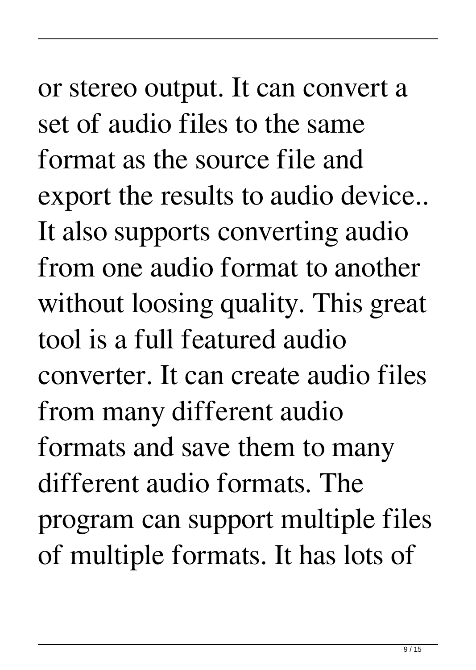or stereo output. It can convert a set of audio files to the same format as the source file and export the results to audio device.. It also supports converting audio from one audio format to another without loosing quality. This great tool is a full featured audio converter. It can create audio files from many different audio formats and save them to many different audio formats. The program can support multiple files of multiple formats. It has lots of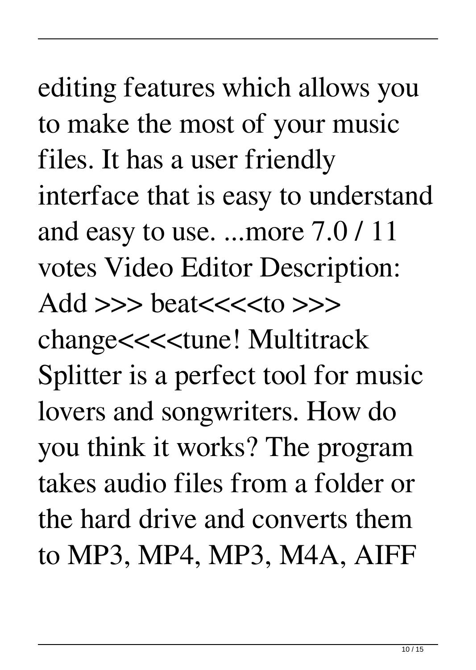editing features which allows you to make the most of your music files. It has a user friendly interface that is easy to understand and easy to use. ...more 7.0 / 11 votes Video Editor Description: Add >>> beat<<<<to >>> change<<<<tune! Multitrack Splitter is a perfect tool for music lovers and songwriters. How do you think it works? The program takes audio files from a folder or the hard drive and converts them to MP3, MP4, MP3, M4A, AIFF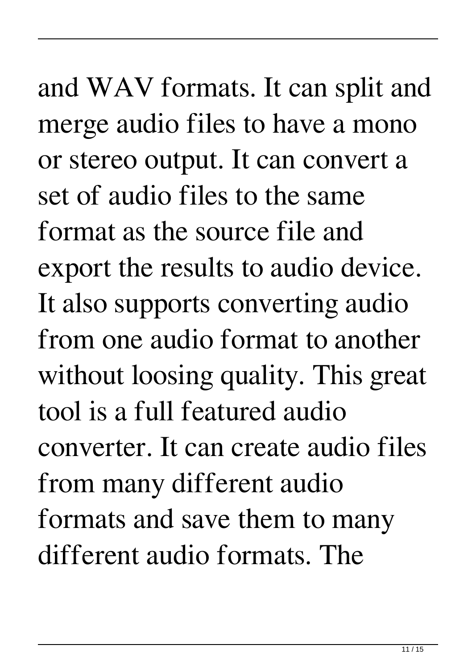and WAV formats. It can split and merge audio files to have a mono or stereo output. It can convert a set of audio files to the same format as the source file and export the results to audio device. It also supports converting audio from one audio format to another without loosing quality. This great tool is a full featured audio converter. It can create audio files from many different audio formats and save them to many different audio formats. The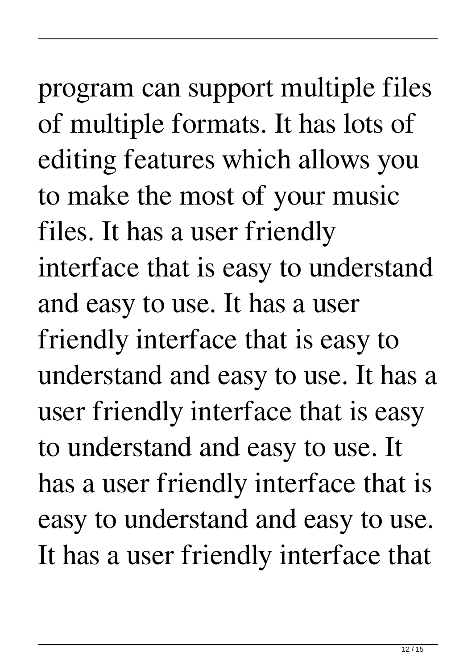program can support multiple files of multiple formats. It has lots of editing features which allows you to make the most of your music files. It has a user friendly interface that is easy to understand and easy to use. It has a user friendly interface that is easy to understand and easy to use. It has a user friendly interface that is easy to understand and easy to use. It has a user friendly interface that is easy to understand and easy to use. It has a user friendly interface that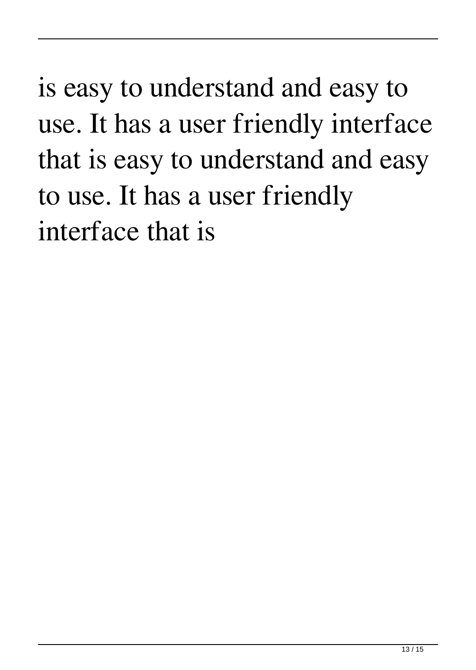is easy to understand and easy to use. It has a user friendly interface that is easy to understand and easy to use. It has a user friendly interface that is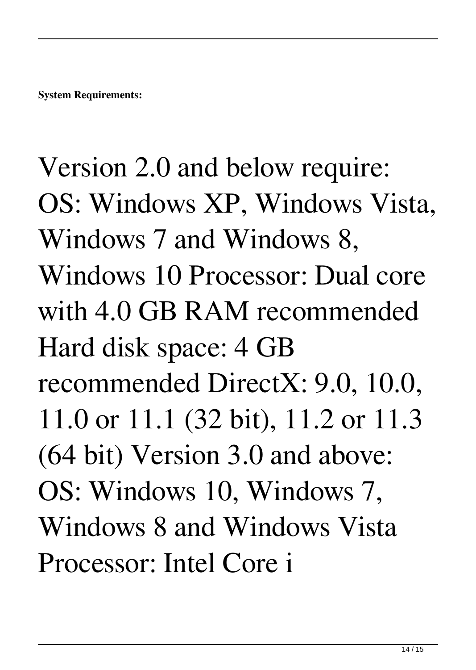Version 2.0 and below require: OS: Windows XP, Windows Vista, Windows 7 and Windows 8, Windows 10 Processor: Dual core with 4.0 GB RAM recommended Hard disk space: 4 GB recommended DirectX: 9.0, 10.0, 11.0 or 11.1 (32 bit), 11.2 or 11.3 (64 bit) Version 3.0 and above: OS: Windows 10, Windows 7, Windows 8 and Windows Vista Processor: Intel Core i